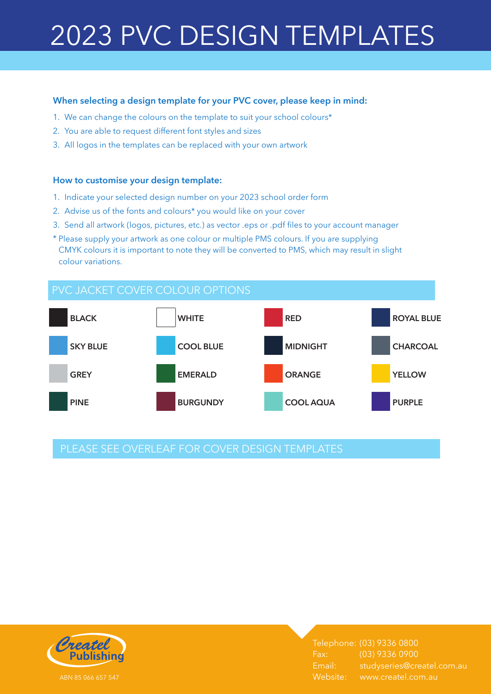# 2023 PVC DESIGN TEMPLATES

#### **When selecting a design template for your PVC cover, please keep in mind:**

- 1. We can change the colours on the template to suit your school colours\*
- 2. You are able to request different font styles and sizes
- 3. All logos in the templates can be replaced with your own artwork

#### **How to customise your design template:**

- 1. Indicate your selected design number on your 2023 school order form
- 2. Advise us of the fonts and colours\* you would like on your cover
- 3. Send all artwork (logos, pictures, etc.) as vector .eps or .pdf files to your account manager
- \* Please supply your artwork as one colour or multiple PMS colours. If you are supplying CMYK colours it is important to note they will be converted to PMS, which may result in slight colour variations.



## PLEASE SEE OVERLEAF FOR COVER DESIGN TEMPLATES



Telephone: (03) 9336 0800 Fax: (03) 9336 0900 Email: studyseries@createl.com.au Website: www.createl.com.au